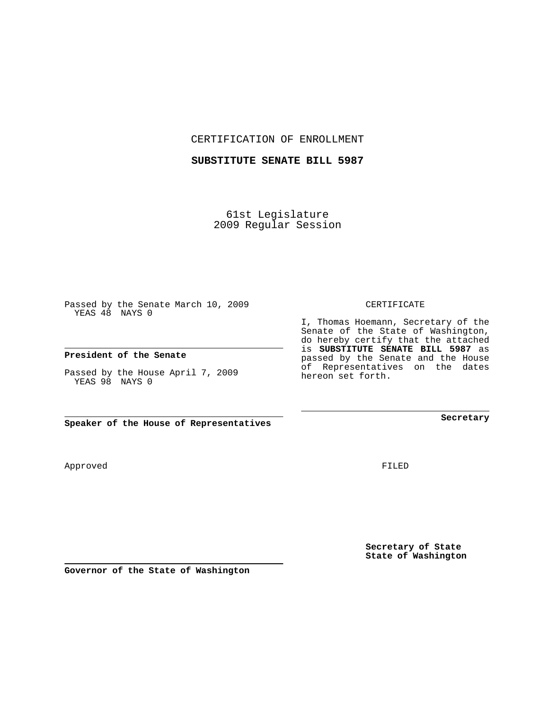CERTIFICATION OF ENROLLMENT

## **SUBSTITUTE SENATE BILL 5987**

61st Legislature 2009 Regular Session

Passed by the Senate March 10, 2009 YEAS 48 NAYS 0

**President of the Senate**

Passed by the House April 7, 2009 YEAS 98 NAYS 0

**Speaker of the House of Representatives**

**Governor of the State of Washington**

Approved

FILED

**Secretary of State State of Washington**

**Secretary**

CERTIFICATE

I, Thomas Hoemann, Secretary of the

Senate of the State of Washington, do hereby certify that the attached is **SUBSTITUTE SENATE BILL 5987** as passed by the Senate and the House of Representatives on the dates hereon set forth.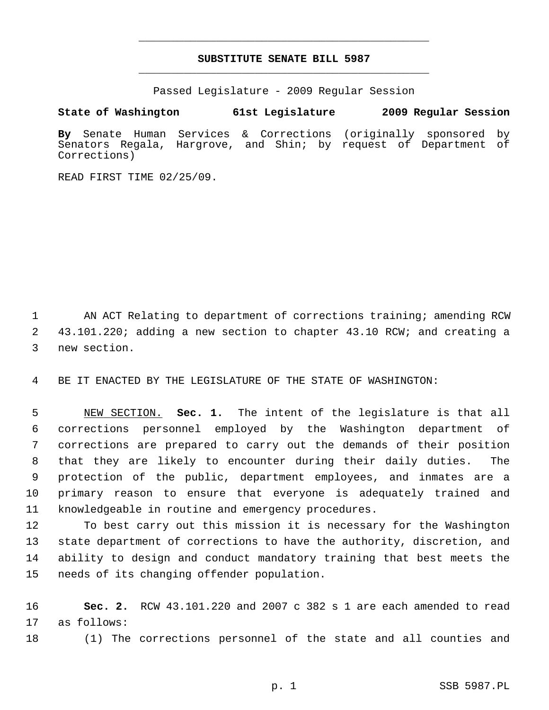## **SUBSTITUTE SENATE BILL 5987** \_\_\_\_\_\_\_\_\_\_\_\_\_\_\_\_\_\_\_\_\_\_\_\_\_\_\_\_\_\_\_\_\_\_\_\_\_\_\_\_\_\_\_\_\_

\_\_\_\_\_\_\_\_\_\_\_\_\_\_\_\_\_\_\_\_\_\_\_\_\_\_\_\_\_\_\_\_\_\_\_\_\_\_\_\_\_\_\_\_\_

Passed Legislature - 2009 Regular Session

## **State of Washington 61st Legislature 2009 Regular Session**

**By** Senate Human Services & Corrections (originally sponsored by Senators Regala, Hargrove, and Shin; by request of Department of Corrections)

READ FIRST TIME 02/25/09.

1 AN ACT Relating to department of corrections training; amending RCW 2 43.101.220; adding a new section to chapter 43.10 RCW; and creating a 3 new section.

4 BE IT ENACTED BY THE LEGISLATURE OF THE STATE OF WASHINGTON:

 5 NEW SECTION. **Sec. 1.** The intent of the legislature is that all 6 corrections personnel employed by the Washington department of 7 corrections are prepared to carry out the demands of their position 8 that they are likely to encounter during their daily duties. The 9 protection of the public, department employees, and inmates are a 10 primary reason to ensure that everyone is adequately trained and 11 knowledgeable in routine and emergency procedures.

12 To best carry out this mission it is necessary for the Washington 13 state department of corrections to have the authority, discretion, and 14 ability to design and conduct mandatory training that best meets the 15 needs of its changing offender population.

16 **Sec. 2.** RCW 43.101.220 and 2007 c 382 s 1 are each amended to read 17 as follows:

18 (1) The corrections personnel of the state and all counties and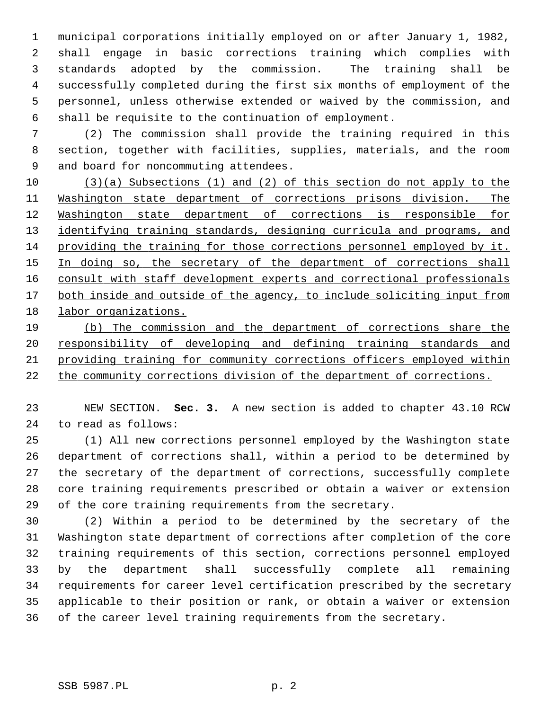1 municipal corporations initially employed on or after January 1, 1982, 2 shall engage in basic corrections training which complies with 3 standards adopted by the commission. The training shall be 4 successfully completed during the first six months of employment of the 5 personnel, unless otherwise extended or waived by the commission, and 6 shall be requisite to the continuation of employment.

 7 (2) The commission shall provide the training required in this 8 section, together with facilities, supplies, materials, and the room 9 and board for noncommuting attendees.

 (3)(a) Subsections (1) and (2) of this section do not apply to the Washington state department of corrections prisons division. The Washington state department of corrections is responsible for 13 identifying training standards, designing curricula and programs, and providing the training for those corrections personnel employed by it. 15 In doing so, the secretary of the department of corrections shall consult with staff development experts and correctional professionals both inside and outside of the agency, to include soliciting input from labor organizations.

 (b) The commission and the department of corrections share the responsibility of developing and defining training standards and providing training for community corrections officers employed within the community corrections division of the department of corrections.

23 NEW SECTION. **Sec. 3.** A new section is added to chapter 43.10 RCW 24 to read as follows:

25 (1) All new corrections personnel employed by the Washington state 26 department of corrections shall, within a period to be determined by 27 the secretary of the department of corrections, successfully complete 28 core training requirements prescribed or obtain a waiver or extension 29 of the core training requirements from the secretary.

30 (2) Within a period to be determined by the secretary of the 31 Washington state department of corrections after completion of the core 32 training requirements of this section, corrections personnel employed 33 by the department shall successfully complete all remaining 34 requirements for career level certification prescribed by the secretary 35 applicable to their position or rank, or obtain a waiver or extension 36 of the career level training requirements from the secretary.